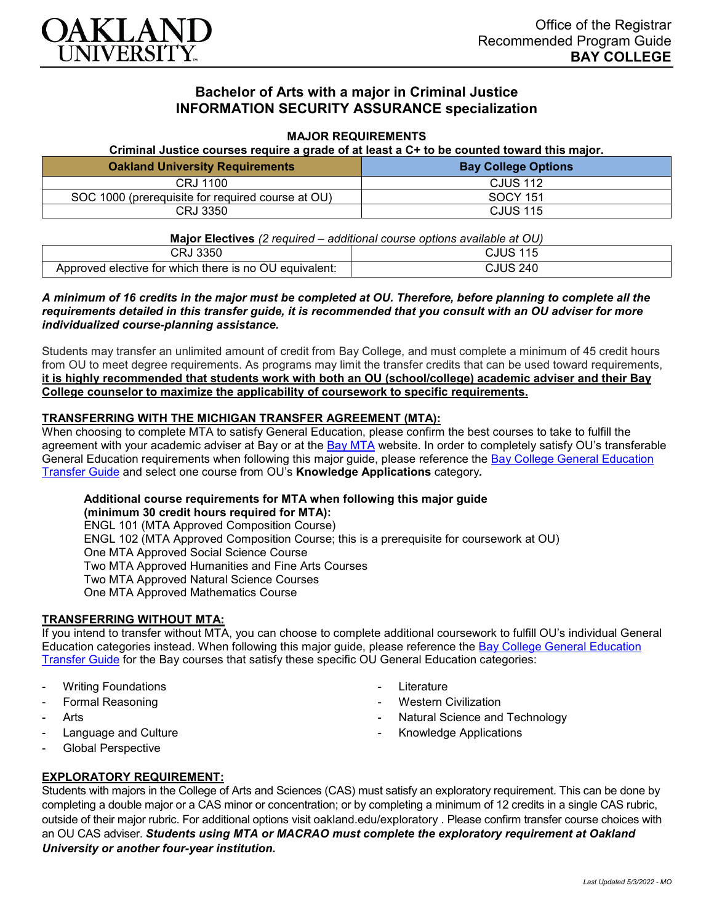

# **Bachelor of Arts with a major in Criminal Justice INFORMATION SECURITY ASSURANCE specialization**

#### **MAJOR REQUIREMENTS**

**Criminal Justice courses require a grade of at least a C+ to be counted toward this major.**

| <b>Oakland University Requirements</b>            | <b>Bay College Options</b> |
|---------------------------------------------------|----------------------------|
| CRJ 1100                                          | <b>CJUS 112</b>            |
| SOC 1000 (prerequisite for required course at OU) | SOCY 151                   |
| CRJ 3350                                          | <b>CJUS 115</b>            |

| <b>Major Electives</b> (2 required – additional course options available at OU) |                 |
|---------------------------------------------------------------------------------|-----------------|
| CRJ 3350                                                                        | <b>CJUS 115</b> |
| Approved elective for which there is no OU equivalent:                          | CJUS 240        |

## *A minimum of 16 credits in the major must be completed at OU. Therefore, before planning to complete all the requirements detailed in this transfer guide, it is recommended that you consult with an OU adviser for more individualized course-planning assistance.*

Students may transfer an unlimited amount of credit from Bay College, and must complete a minimum of 45 credit hours from OU to meet degree requirements. As programs may limit the transfer credits that can be used toward requirements, **it is highly recommended that students work with both an OU (school/college) academic adviser and their Bay College counselor to maximize the applicability of coursework to specific requirements.**

## **TRANSFERRING WITH THE MICHIGAN TRANSFER AGREEMENT (MTA):**

When choosing to complete MTA to satisfy General Education, please confirm the best courses to take to fulfill the agreement with your academic adviser at Bay or at the [Bay MTA](https://www.baycollege.edu/admissions/transfer/transfer-agreements.php) website. In order to completely satisfy OU's transferable General Education requirements when following this major guide, please reference the [Bay College General Education](https://www.oakland.edu/Assets/Oakland/program-guides/bay-college/university-general-education-requirements/Bay%20Gen%20Ed.pdf)  [Transfer Guide](https://www.oakland.edu/Assets/Oakland/program-guides/bay-college/university-general-education-requirements/Bay%20Gen%20Ed.pdf) and select one course from OU's **Knowledge Applications** category*.*

## **Additional course requirements for MTA when following this major guide**

**(minimum 30 credit hours required for MTA):** ENGL 101 (MTA Approved Composition Course) ENGL 102 (MTA Approved Composition Course; this is a prerequisite for coursework at OU) One MTA Approved Social Science Course Two MTA Approved Humanities and Fine Arts Courses Two MTA Approved Natural Science Courses One MTA Approved Mathematics Course

## **TRANSFERRING WITHOUT MTA:**

If you intend to transfer without MTA, you can choose to complete additional coursework to fulfill OU's individual General Education categories instead. When following this major guide, please reference the [Bay College General Education](https://www.oakland.edu/Assets/Oakland/program-guides/bay-college/university-general-education-requirements/Bay%20Gen%20Ed.pdf)  [Transfer Guide](https://www.oakland.edu/Assets/Oakland/program-guides/bay-college/university-general-education-requirements/Bay%20Gen%20Ed.pdf) for the Bay courses that satisfy these specific OU General Education categories:

- **Writing Foundations**
- Formal Reasoning
- **Arts**
- Language and Culture
- Global Perspective
- **Literature**
- **Western Civilization**
- Natural Science and Technology
- Knowledge Applications

## **EXPLORATORY REQUIREMENT:**

Students with majors in the College of Arts and Sciences (CAS) must satisfy an exploratory requirement. This can be done by completing a double major or a CAS minor or concentration; or by completing a minimum of 12 credits in a single CAS rubric, outside of their major rubric. For additional options visit [oakland.edu/exploratory](http://www.oakland.edu/exploratory) . Please confirm transfer course choices with an OU CAS adviser. *Students using MTA or MACRAO must complete the exploratory requirement at Oakland University or another four-year institution.*